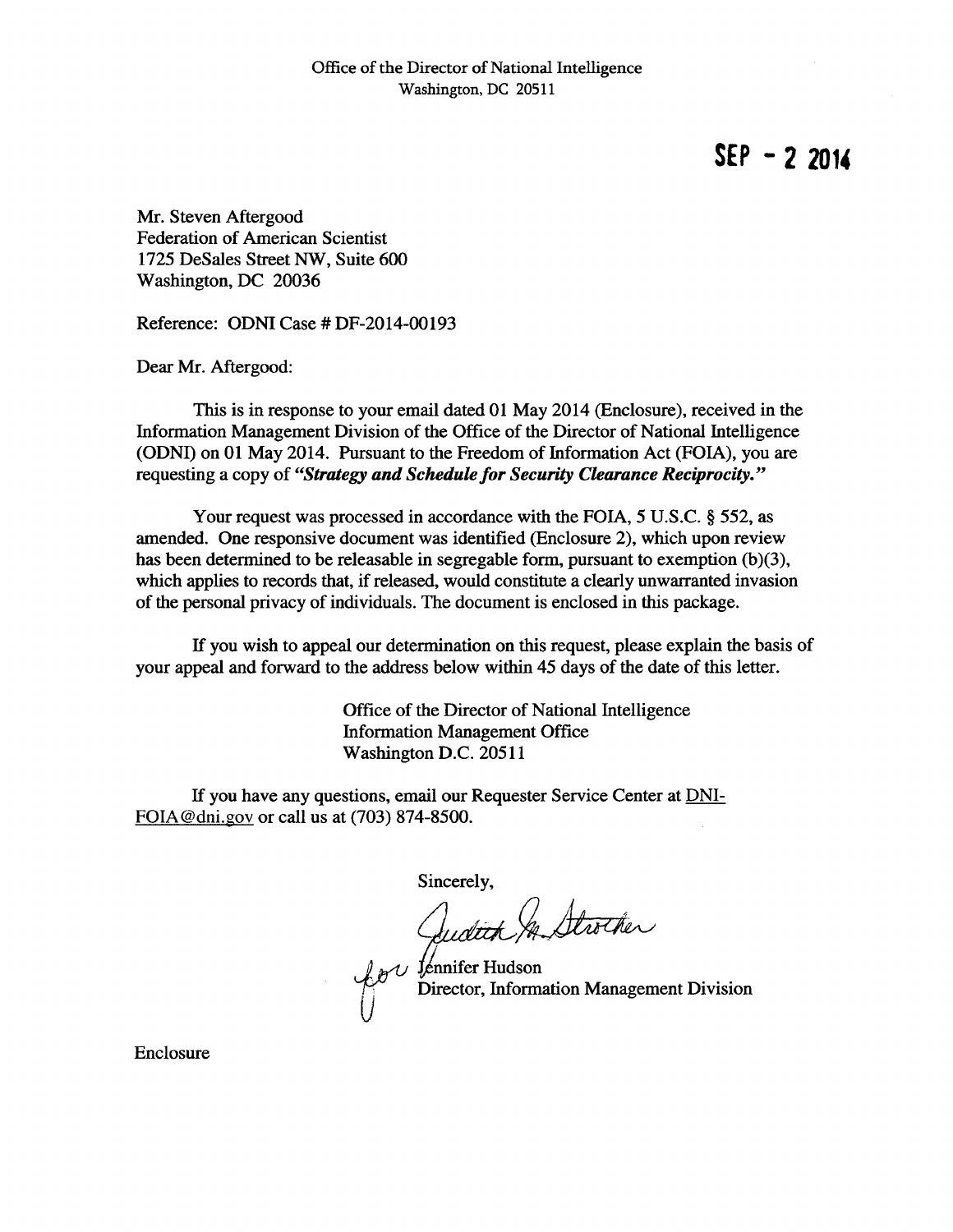**SEP - 2 2014** 

Mr. Steven Aftergood Federation of American Scientist 1725 DeSales Street NW, Suite 600 Washington, DC 20036

Reference: ODNI Case# DF-2014-00193

Dear Mr. Aftergood:

This is in response to your email dated 01 May 2014 (Enclosure), received in the Information Management Division of the Office of the Director of National Intelligence (ODNI) on 01 May 2014. Pursuant to the Freedom of Information Act (FOIA), you are requesting a copy of *"Strategy and Schedule for Security Clearance Reciprocity."* 

Your request was processed in accordance with the FOIA, *5* U.S.C. § 552, as amended. One responsive document was identified (Enclosure 2), which upon review has been determined to be releasable in segregable form, pursuant to exemption (b)(3), which applies to records that, if released, would constitute a clearly unwarranted invasion of the personal privacy of individuals. The document is enclosed in this package.

If you wish to appeal our determination on this request, please explain the basis of your appeal and forward to the address below within 45 days of the date of this letter.

> Office of the Director of National Intelligence Information Management Office Washington D.C. 20511

If you have any questions, email our Requester Service Center at DNI-FOIA @dni.gov or call us at (703) 874-8500.

 $\tilde{U}$ 

Sincerely,

 $\mathcal{L}_{\mathcal{B}}$  is  $\mathcal{L}$  fennifer Hudson Management Division

Enclosure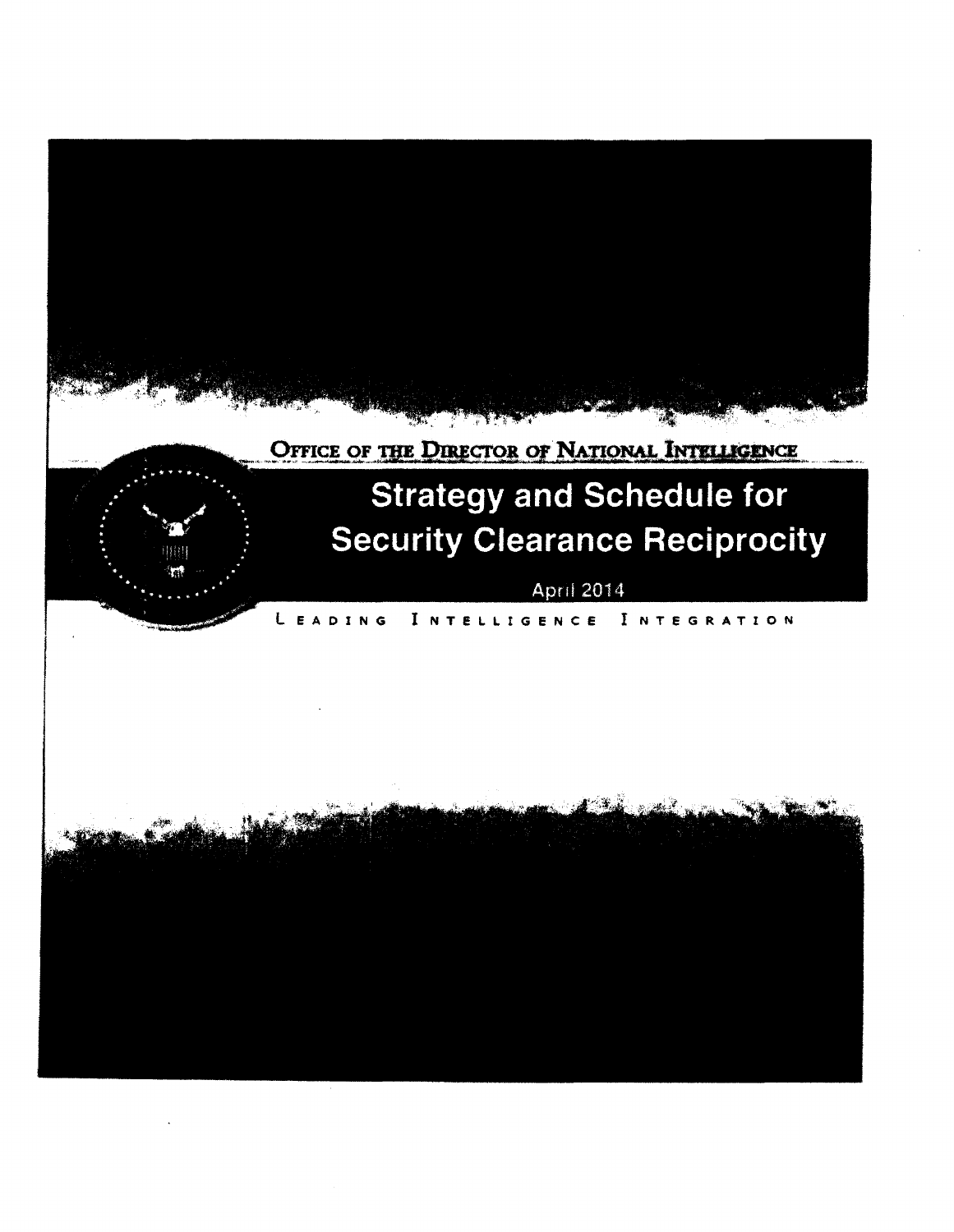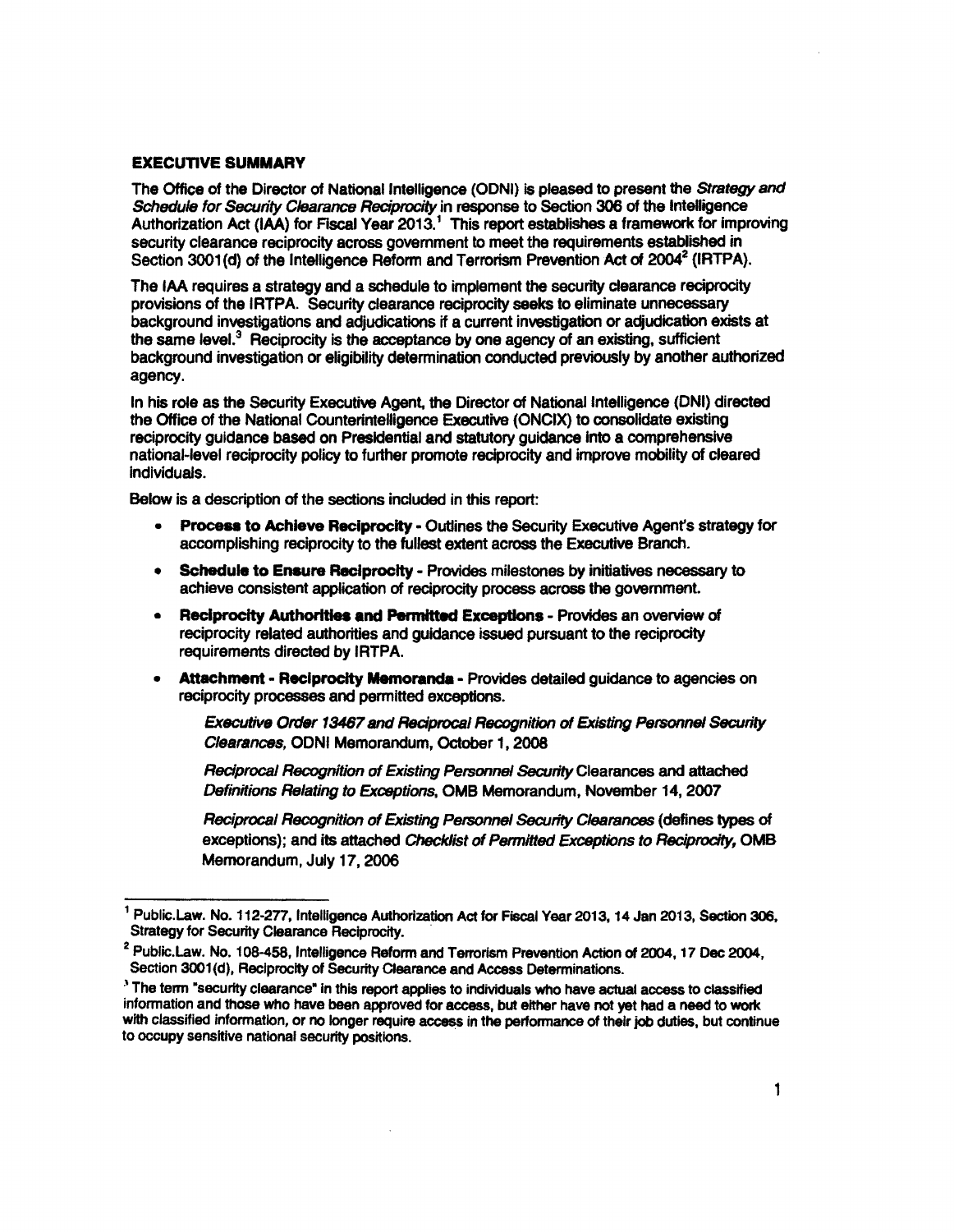# **EXECUTIVE SUMMARY**

The Office of the Director of National Intelligence (ODNI) is pleased to present the Strategy and Schedule for *Security* Clearance Reciprocity in response to Section 306 of the Intelligence Authorization Act (IAA) for Fiscal Year 2013.<sup>1</sup> This report establishes a framework for improving security clearance reciprocity across govemment to meet the requirements established in Section 3001(d) of the Intelligence Reform and Terrorism Prevention Act of 2004<sup>2</sup> (IRTPA).

The IAA requires a strategy and a schedule to implement the security dearance reciprocity provisions of the IRTPA. Security clearance reciprocity seeks to eliminate unnecessary background investigatiOns and adjudications if a current investigation or adjudication exists at the same level.<sup>3</sup> Reciprocity is the acceptance by one agency of an existing, sufficient background investigation or eligibility determination conducted previously by another authorized agency.

In his role as the Security Executive Agent, the Director of National Intelligence (DNI) directed the Office of the National Counterintelligence Executive (ONCIX} to consolidate existing reciprocity guidance based on Presidential and statutory guidance Into a comprehensive national-level reciprocity policy to further promote redprocity and improve mobility of cleared Individuals.

Below is a description of the sections included in this report:

- Proceaa to Achieve Reciprocity Outlines the Security Executive Agent's strategy for accomplishing reciprocity to the fullest extent across the Executive Branch.
- Schedule to Ensure Reciprocity Provides milestones by initiatives necessary to achieve consistent application of reciprocity process across the govemment.
- Reciprocity Authorttlea and Permitted Exceptions Provides an overview of reciprocity related authorities and guidance issued pursuant to the reciprocity requirements directed by IRTPA.
- Attachment Reciprocity Memoranda Provides detailed guidance to agencies on reciprocity processes and permitted exceptions.

Executive Order 18467 and Reciprocal Recognition of Existing Personnel *&lcurity*  Clearances, ODNI Memorandum, October 1, 2008

Reciprocal Recognition of Existing Personnel Security Clearances and attached Definitions Relating to Exceptions, OMB Memorandum, November 14,2007

Reciprocal Recognition of Existing Personnel Security Clearances (defines types of exceptions); and its attached Checklist of Permitted Exceptions to Reciprocity, OMB Memorandum, July 17,2006

<sup>&</sup>lt;sup>1</sup> Public.Law. No. 112-277, Intelligence Authorization Act for Fiscal Year 2013, 14 Jan 2013, Section 306, Strategy for Security Clearance Reciprocity.

<sup>&</sup>lt;sup>2</sup> Public. Law. No. 108-458, Intelligence Reform and Terrorism Prevention Action of 2004, 17 Dec 2004, Section 3001(d), Reciprocity of Security Clearance and Access Determinations.

<sup>)</sup> The term "security clearance• In this report applies to individuals who have actual access to classified information and those who have been approved for access, but either have not yet had a need to work with classified information, or no longer require access in the performance of their job duties, but continue to occupy sensitive national security positions.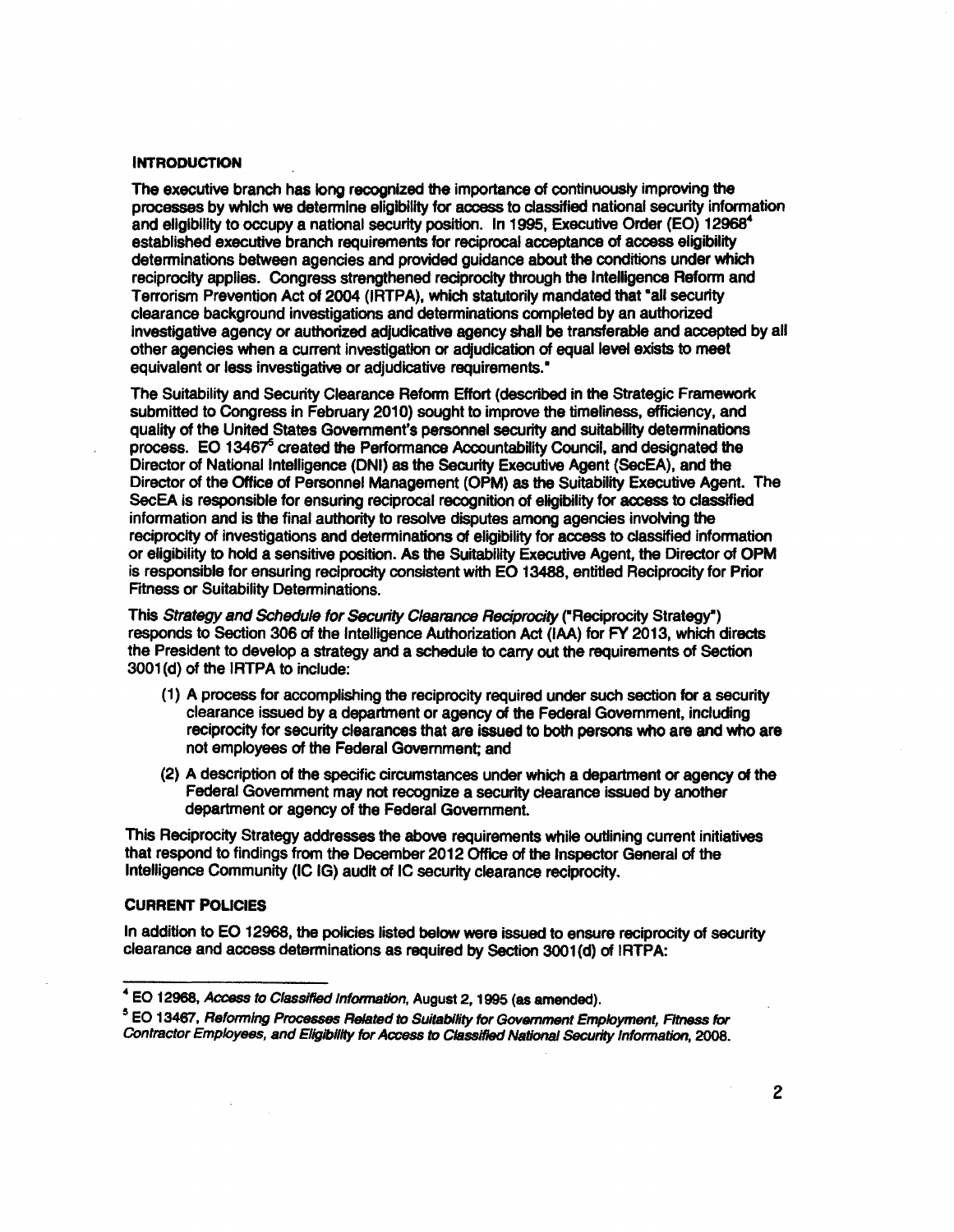### **INTRODUCTION**

The executive branch has long recognized the importance of continuously improving the processes by which we determine eligibility for access to classified national security information and eligibility to occupy a national security position. In 1995, Executive Order (EO) 12968<sup>4</sup> established executive branch requirements for reciprocal acceptance of access eligibility determinations between agencies and provided guidance about the conditions under which reciprocity applies. Congress strengthened reciprocity through the Intelligence Reform and Terrorism Prevention Act of 2004 (IRTPA), which statutorily mandated that "all security clearance background investigations and determinations completed by an authorized Investigative agency or authorized adjudicative agency shall be transferable and accepted by all other agencies when a current investigation or adjudication of equal level exists to meet equivalent or less investigative or adjudicative requirements."

The Suitability and Security Clearance Reform Effort (described in the Strategic Framework submitted to Congress in February 2010) sought to improve the timeliness, efficiency, and quality of the United States Government's personnel security and suitability determinations process. EO 13467<sup>5</sup> created the Performance Accountability Council, and designated the Director of National Intelligence (DNI) as the Security Executive Agent (SecEA), and the Director of the Office of Personnel Management (OPM) as the SUitability Executive Agent. The SecEA Is responsible for ensuring reciprocal recognition of eligibility for access to classified information and is the final authority to resolve disputes among agencies involving the reciprocity of investigations and determinations of eligibility for access to classified information or eligibility to hold a sensitive position. As the Suitability Executive Agent, the Director of OPM is responsible for ensuring reciprocity consistent with EO 13488, entitled Reciprocity for Prior Fitness or Suitability Determinations.

This Strategy and *Schedule* for Security Clearance Reciprocity (•Reciprocity Strategy-) responds to Section 306 of the Intelligence Authorization Act (IAA) for FY 2013, which directs the President to develop a strategy and a schedule to carry out the requirements of Section 3001 (d) of the IRTPA to include:

- (1) A process for accomplishing the reciprocity required under such section for a security clearance issued by a department or agency of the Federal Government, including reciprocity for security clearances that are issued to both persons who are and who are not employees of the Federal Government; and
- (2) A description of the specific circumstances under which a department or agency of the Federal Government may not recognize a security clearance issued by another department or agency of the Federal Government.

This Reciprocity Strategy addresses the above requirements while outlining current initiatives that respond to findings from the December 2012 Office of the Inspector General of the Intelligence Community (IC IG) audit of IC security clearance reciprocity.

### **CURRENT POLICIES**

In addition to EO 12968, the policies listed below were issued to ensure reciprocity of security clearance and access determinations as required by Section 3001(d) of IRTPA:

<sup>4</sup>EO 12968, Access to Classified Information, August 2, 1995 (as amended).

<sup>&</sup>lt;sup>5</sup> EO 13467, Reforming Processes Related to Suitability for Government *Employment, Fitness for* Contractor Employees, and Eligibility for Access to Classified National Security Information, 2008.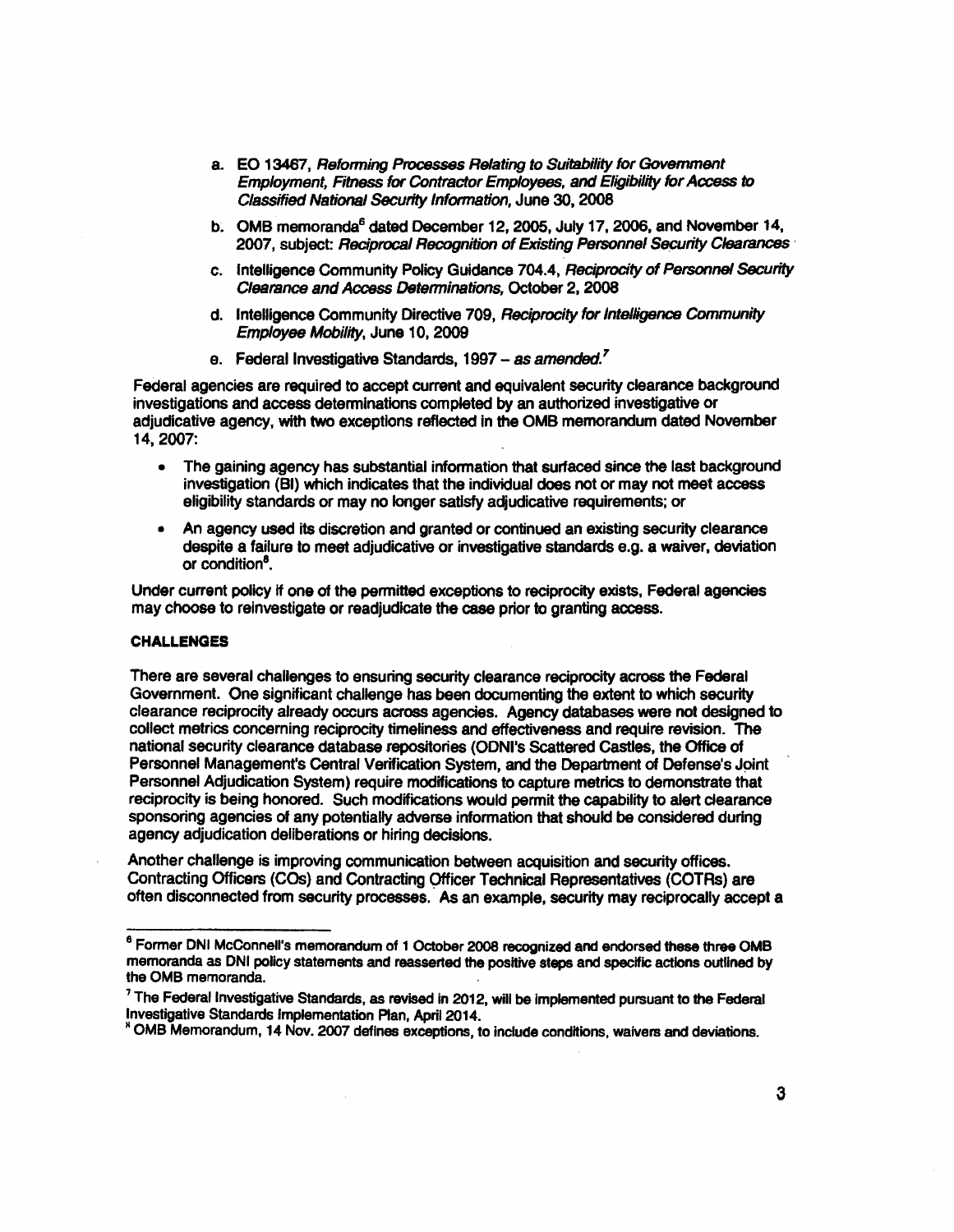- a. EO 13467, Refonning Processes Relating to Suitability for Government Employment, *Fitness* for Contractor Employees, and Eligibility for *Access to*  Classified National Security Information, June 30, 2008
- b. OMB memoranda<sup>6</sup> dated December 12, 2005, July 17, 2006, and November 14, 2007, subject: Reciprocal Recognition of Existing Personnel Security Clearances ·
- c. Intelligence Community Policy Guidance 704.4, Reciprocity of Personnel Security Clearance and *Access* Determinations, October 2, 2008
- d. Intelligence Community Directive 709, Reciprocity for Intelligence Community Employee Mobility, June 10, 2009
- e. Federal Investigative Standards, 1997 as *amended.'*

Federal agencies are required *to* accept current and equivalent security clearance background investigations and access determinations completed by an authorized investigative or adjudicative agency, with two exceptions reflected in the OMB memorandum dated November 14,2007:

- The gaining agency has substantial information that surfaced since the last background investigation (BI) which indicates that the individual does not or may not meet access eligibility standards or may no longer satisfy adjudicative requirements; or
- An agency used its discretion and granted or continued an existing security clearance despite a failure to meet adjudicative or investigative standards e.g. a waiver, deviation or condition<sup>8</sup>.

Under current policy If one of the permitted exceptions to reciprocity exists, Federal agencies may choose to reinvestigate or readjudicate the case prior to granting access.

### CHALLENGES

There are several challenges to ensuring security clearance reciprocity across the Federal Government. One significant challenge has been documenting the extent to which security clearance reciprocity already occurs across agencies. Agency databases were not designed to collect metrics concerning reciprocity timeliness and effectiveness and require revision. The national security clearance database repositories (ODNI's Scattered Castles, the Office of Personnel Management's Central Verification System, and the Department of Defense's Joint Personnel Adjudication System) require modifications to capture metrics to demonstrate that reciprocity is being honored. Such modifications would permit the capability to alert clearance sponsoring agencies of any potentially adverse information that should be considered during agency adjudication deliberations or hiring decisions.

Another challenge is improving communication between acquisition and security offices. Contracting Officers (COs) and Contracting Officer Technical Representatives (COTRs) are often disconnected from security processes. As an example, security may reciprocally accept a

<sup>&</sup>lt;sup>8</sup> Former DNI McConnell's memorandum of 1 October 2008 recognized and endorsed these three OMB memoranda as ONI policy statements and reasserted the positive steps and specific actions outlined by the OMB memoranda.

<sup>&</sup>lt;sup>7</sup> The Federal Investigative Standards, as revised in 2012, will be implemented pursuant to the Federal Investigative Standards Implementation Plan, April2014.

<sup>&</sup>lt;sup>8</sup> OMB Memorandum, 14 Nov. 2007 defines exceptions, to include conditions, waivers and deviations.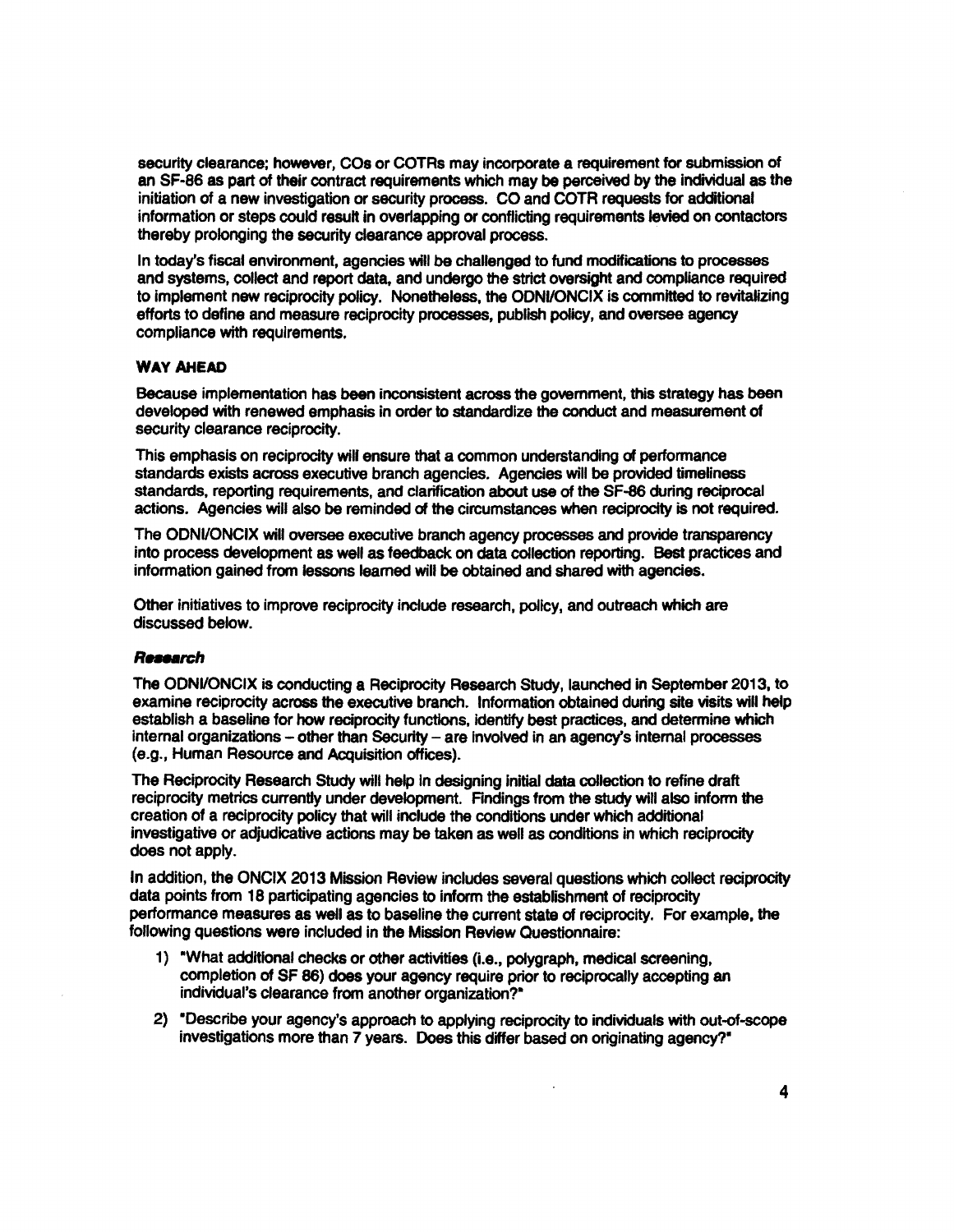security clearance; however, COs or COTRs may incorporate a requirement for submission of an SF-86 as part of their contract requirements which may be perceived by the individual as the initiation of a new investigation or security process. CO and COTR requests for additional information or steps could result in overlapping or conflicting requirements levied on contactors thereby prolonging the security clearance approval process.

In today's fiscal environment, agencies will be challenged to fund modifications to processes and systems, collect and report data, and undergo the strict oversight and compliance required to implement new reciprocity policy. Nonetheless, the ODNIIONCIX is committed to revitalizing efforts to define and measure reciprocity processes, publish policy, and owrsee agency compliance with requirements.

# **WAY AHEAD**

Because implementation has been inconsistent across the gowrnment, this strategy has been developed with renewed emphasis in order to standardize the conduct and measurement of security clearance reciprocity.

This emphasis on reciprocity will ensure that a common understanding of performance standards exists across executive branch agencies. Agencies will be provided timeliness standards, reporting requirements, and clarification about use of the SF-86 during reciprocal actions. Agencies will also be reminded of the circumstances when reciprocity is not required.

The ODNVONCIX will oversee executive branch agency processes and provide transparency into process development as well as feedback on data collection reporting. Best practices and information gained from lessons learned will be obtained and shared with agencies.

Other initiatives to improve reciprocity include research, policy, and outreach which are discussed below.

### *R..\_rch*

The ODNI/ONCIX is conducting a Reciprocity Research Study, launched in September 2013, to examine reciprocity across the executive branch. Information obtained during site visits will help establish a baseline for how reciprocity functions, identify best practices, and determine which internal organizations - other than Security - are involved in an agency's internal processes (e.g., Human Resource and Acquisition offices).

The Reciprocity Research Study will help in designing initial data collection to refine draft reciprocity metrics currently under dewlopment. Findings from the study will also inform the creation of a reciprocity policy that will include the conditions under which additional investigative or adjudicative actions may be taken as well as conditions in which reciprocity does not apply.

In addition, the ONCIX 2013 Mission Review includes several questions which collect reciprocity data points from 18 participating agencies to inform the establishment of reciprocity performance measures as well as to baseline the current state of reciprocity. For example, the following questions were included in the Mission Review Questionnaire:

- 1) "What additional checks or other activities (i.e., polygraph, medical screening, completion of SF 86) does your agency require prior to reciprocally accepting an individual's clearance from another organization?•
- 2) **"Describe your agency's approach to applying reciprocity to individuals with out-of-scope** investigations more than 7 years. Does this differ based on originating agency?•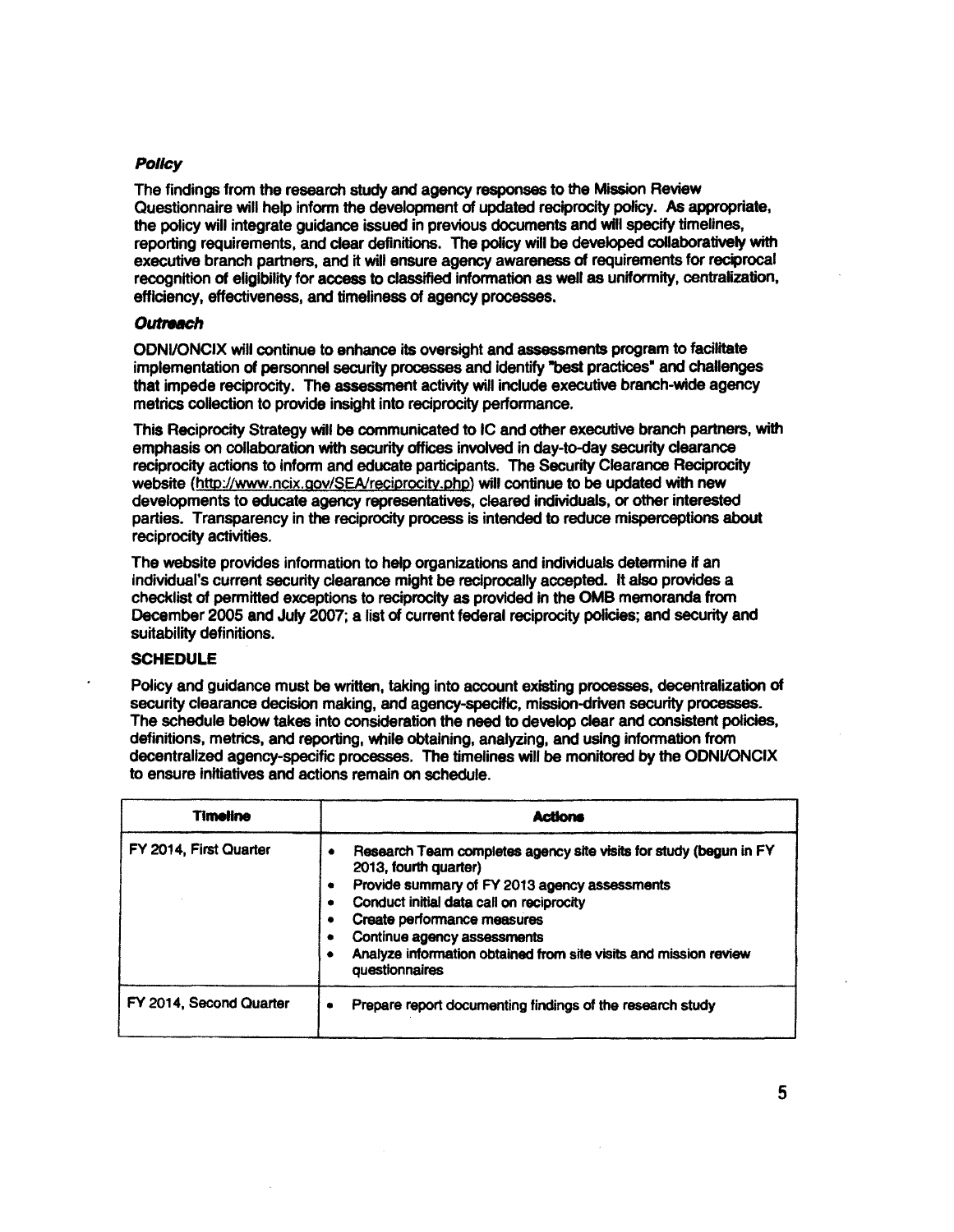# **Policy**

The findings from the research study and agency responses to the Mission Review Questionnaire will help inform the development of updated reciprocity policy. As appropriate, the policy will integrate guidance issued in previous documents and will specify timellnes, reporting requirements, and clear definitions. The policy will be developed collaboratively with executive branch partners, and it will ensure agency awareness of requirements for reciprocal recognition of eligibility for access to classified information as well as uniformity, centralization, efficiency, effectiveness, and timeliness of agency processes.

### **Outreach**

ODNIIONCIX will continue to enhance its oversight and assessments program to facilitate implementation of personnel security processes and identify "best practices" and challenges that impede reciprocity. The assessment activity will inciude executive branch-wide agency metrics collection to provide insight into reciprocity performance.

This Reciprocity Strategy will be communicated to IC and other executive branch partners, with emphasis on collaboration with security offices involved in day-to-day security clearance reciprocity actions to inform and educate participants. The Security Clearance Reciprocity website (http://www.ncix.gov/SEA/reciprocity.php) will continue to be updated with new developments to educate agency representatives, cleared individuals, or other interested parties. Transparency in the reciprocity process is intended to reduce misperceptions about reciprocity activities.

The website provides information to help organizations and individuals determine if an individual's current security clearance might be reciprocally accepted. It also provides a checklist of permitted exceptions to reciprocity as provided in the OMB memoranda from December 2005 and July 2007; a list of current federal reciprocity policies; and security and suitability definitions.

# **SCHEDULE**

Policy and guidance must be written, taking into account existing processes, decentralization of security clearance decision making, and agency-specific, mission-driven security processes. The schedule below takes into consideration the need to develop clear and consistent policies, definitions, metrics, and reporting, while obtaining, analyzing, and using information from decentralized agency-specific processes. The timelines will be monitored by the ODNVONCIX to ensure initiatives and actions remain on schedule.

| <b>Timeline</b>         | <b>Actions</b>                                                                                                                                                                                                                                                                                                                              |  |  |
|-------------------------|---------------------------------------------------------------------------------------------------------------------------------------------------------------------------------------------------------------------------------------------------------------------------------------------------------------------------------------------|--|--|
| FY 2014, First Quarter  | Research Team completes agency site visits for study (begun in FY<br>2013, fourth quarter)<br>Provide summary of FY 2013 agency assessments<br>Conduct initial data call on reciprocity<br>Create performance measures<br>Continue agency assessments<br>Analyze information obtained from site visits and mission review<br>questionnaires |  |  |
| FY 2014, Second Quarter | Prepare report documenting findings of the research study<br>۰                                                                                                                                                                                                                                                                              |  |  |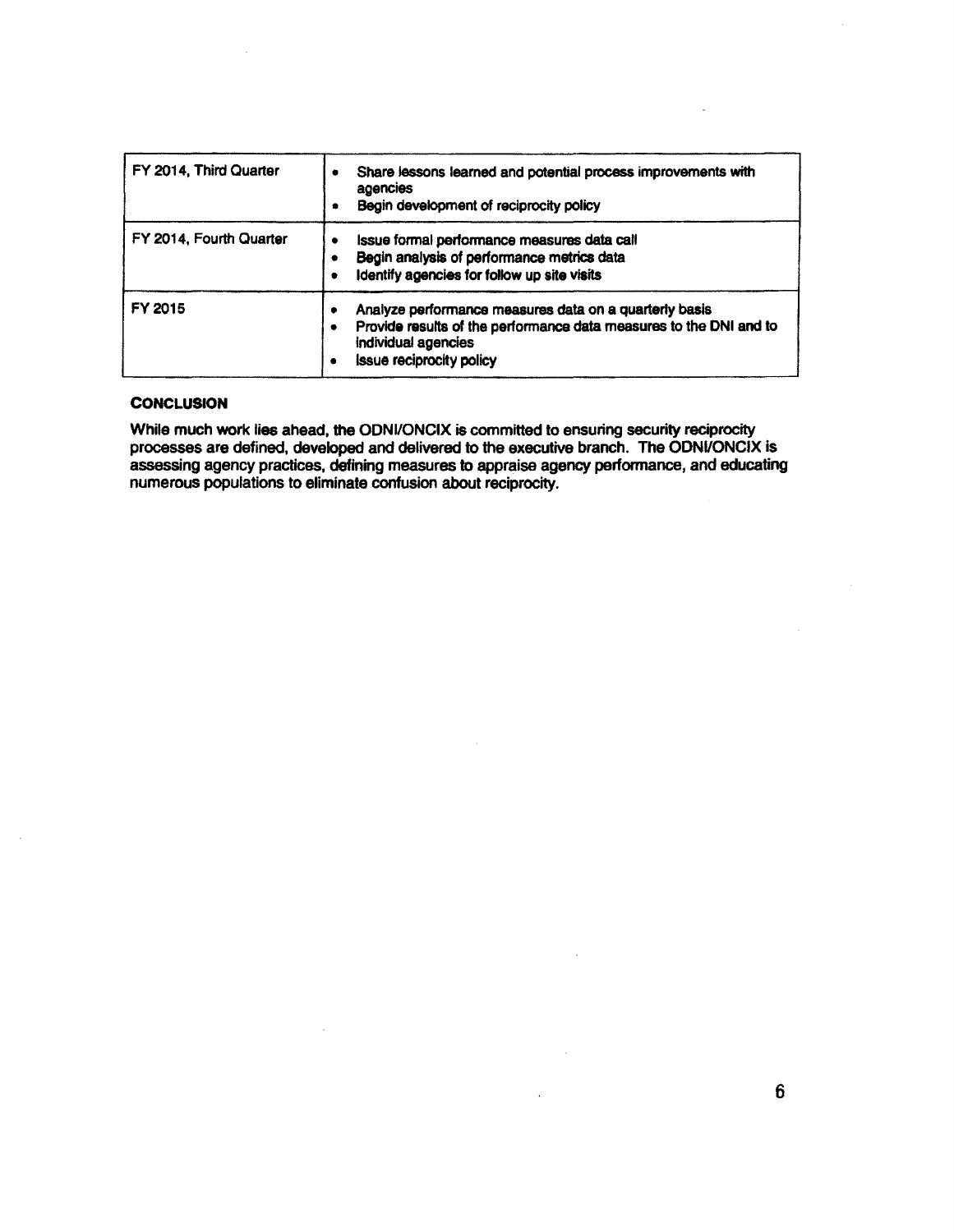| FY 2014, Third Quarter  | Share lessons learned and potential process improvements with<br>٠<br>agencies<br>Begin development of reciprocity policy<br>٠                                                              |  |
|-------------------------|---------------------------------------------------------------------------------------------------------------------------------------------------------------------------------------------|--|
| FY 2014, Fourth Quarter | Issue formal performance measures data call<br>٠<br>Begin analysis of performance metrics data<br>Identify agencies for follow up site visits                                               |  |
| FY 2015                 | Analyze performance measures data on a quarterly basis<br>٠<br>Provide results of the performance data measures to the DNI and to<br>individual agencies<br><b>issue reciprocity policy</b> |  |

### **CONCLUSION**

While much work lies ahead, the ODNI/ONCIX is committed to ensuring security reciprocity processes are defined, developed and delivered to the executive branch. The ODNI/ONCIX is assessing agency practices, defining measures to appraise agency performance, and educating numerous populations to eliminate confusion about reciprocity.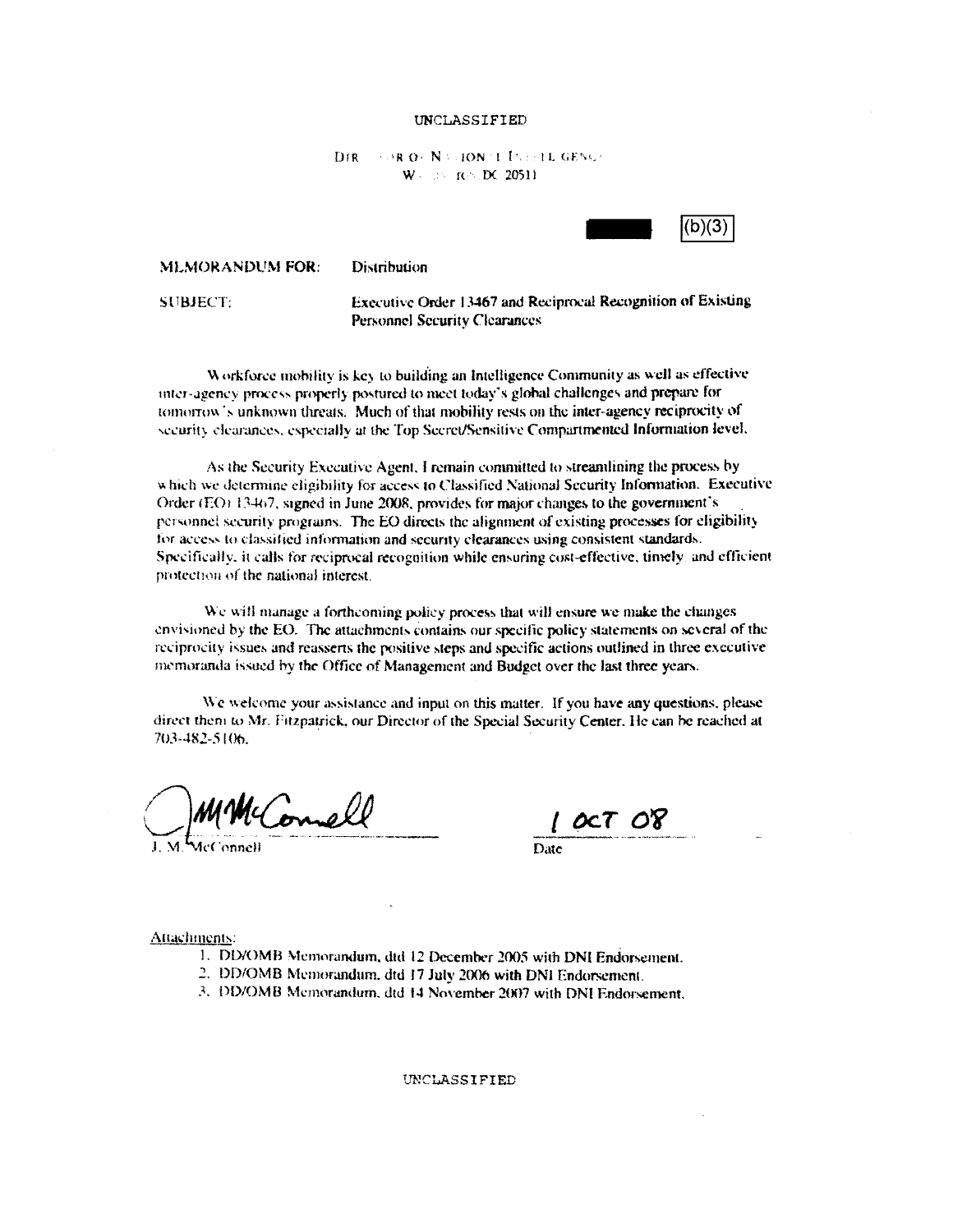### UNCLASSIFIED

#### D<sub>IR</sub> *FOR OCN VIDON TITLE LEGENES* W = 205 TO DC 20511



Distribution **MLMORANDUM FOR:** 

**SUBJECT:** 

Executive Order 13467 and Reciprocal Recognition of Existing **Personnel Security Clearances** 

Workforce mobility is key to building an Intelligence Community as well as effective inter-agency process properly postured to meet today's global challenges and prepare for tomorrow's unknown threats. Much of that mobility rests on the inter-agency reciprocity of security elearances, especially at the Top Secret/Sensitive Compartmented Information level.

As the Security Executive Agent, I remain committed to streamlining the process by which we determine eligibility for access to Classified National Security Information. Executive Order (EO) 13467, signed in June 2008, provides for major changes to the government's personnel security programs. The EO directs the alignment of existing processes for eligibility for access to classified information and security clearances using consistent standards. Specifically, it calls for reciprocal recognition while ensuring cost-effective, timely, and efficient protection of the national interest.

We will manage a forthcoming policy process that will ensure we make the changes envisioned by the EO. The attachments contains our specific policy statements on several of the reciprocity issues and reasserts the positive steps and specific actions outlined in three executive memoranda issued by the Office of Management and Budget over the last three years.

We welcome your assistance and input on this matter. If you have any questions, please direct them to Mr. Fitzpatrick, our Director of the Special Security Center. He can be reached at 703-482-5106.

McConnell

Date

Attachments:

- 1. DD/OMB Memorandum, dtd 12 December 2005 with DNI Endorsement.
- 2. DD/OMB Memorandum, dtd 17 July 2006 with DNI Endorsement.
- 3. DD/OMB Memorandum, dtd 14 November 2007 with DNI Endorsement.

UNCLASSIFIED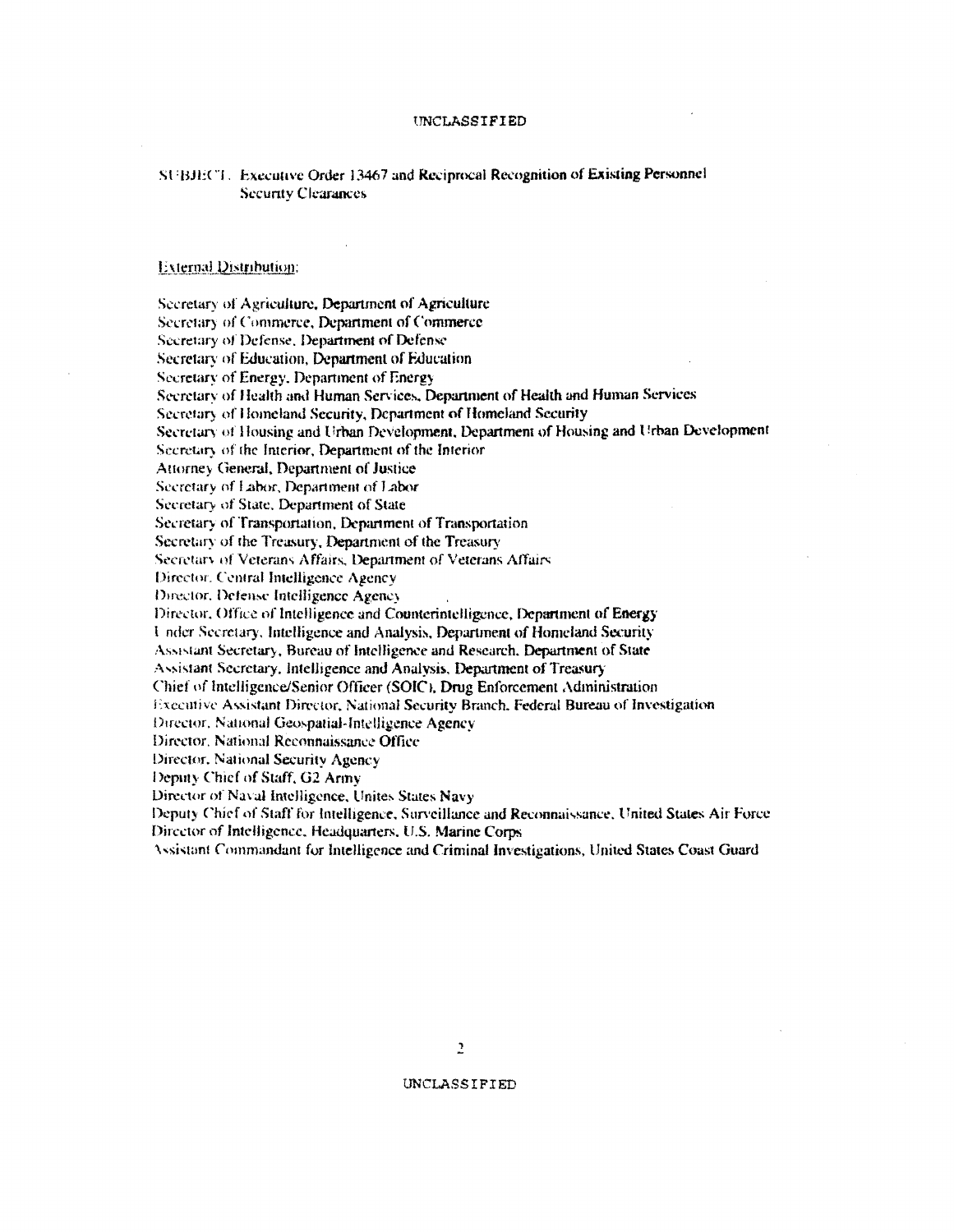### UNCLASSIFIED

# SUBJECT. Executive Order 13467 and Reciprocal Recognition of Existing Personnel **Security Clearances**

### **External Distribution:**

Secretary of Agriculture, Department of Agriculture Secretary of Commerce, Department of Commerce Secretary of Defense, Department of Defense Secretary of Education, Department of Education Secretary of Energy, Department of Energy Secretary of Health and Human Services, Department of Health and Human Services Secretary of Homeland Security, Department of Homeland Security Secretary of Housing and Urban Development, Department of Housing and Urban Development Secretary of the Interior, Department of the Interior Attorney General, Department of Justice Secretary of Labor, Department of Labor Secretary of State, Department of State Secretary of Transportation, Department of Transportation Secretary of the Treasury, Department of the Treasury Secretary of Veterans Affairs, Department of Veterans Affairs Director. Central Intelligence Agency Director, Defense Intelligence Agency Director, Office of Intelligence and Counterintelligence, Department of Energy Under Secretary, Intelligence and Analysis, Department of Homeland Security Assistant Secretary, Bureau of Intelligence and Research, Department of State Assistant Secretary, Intelligence and Analysis, Department of Treasury Chief of Intelligence/Senior Officer (SOIC), Drug Enforcement Administration Executive Assistant Director, National Security Branch, Federal Bureau of Investigation Director, National Geospatial-Intelligence Agency Director, National Reconnaissance Office Director, National Security Agency Deputy Chief of Staff, G2 Army Director of Naval Intelligence, Unites States Navy Deputy Chief of Staff for Intelligence, Surveillance and Reconnaissance, United States Air Force Director of Intelligence, Headquarters, U.S. Marine Corps

Assistant Commandant for Intelligence and Criminal Investigations, United States Coast Guard

UNCLASSIFIED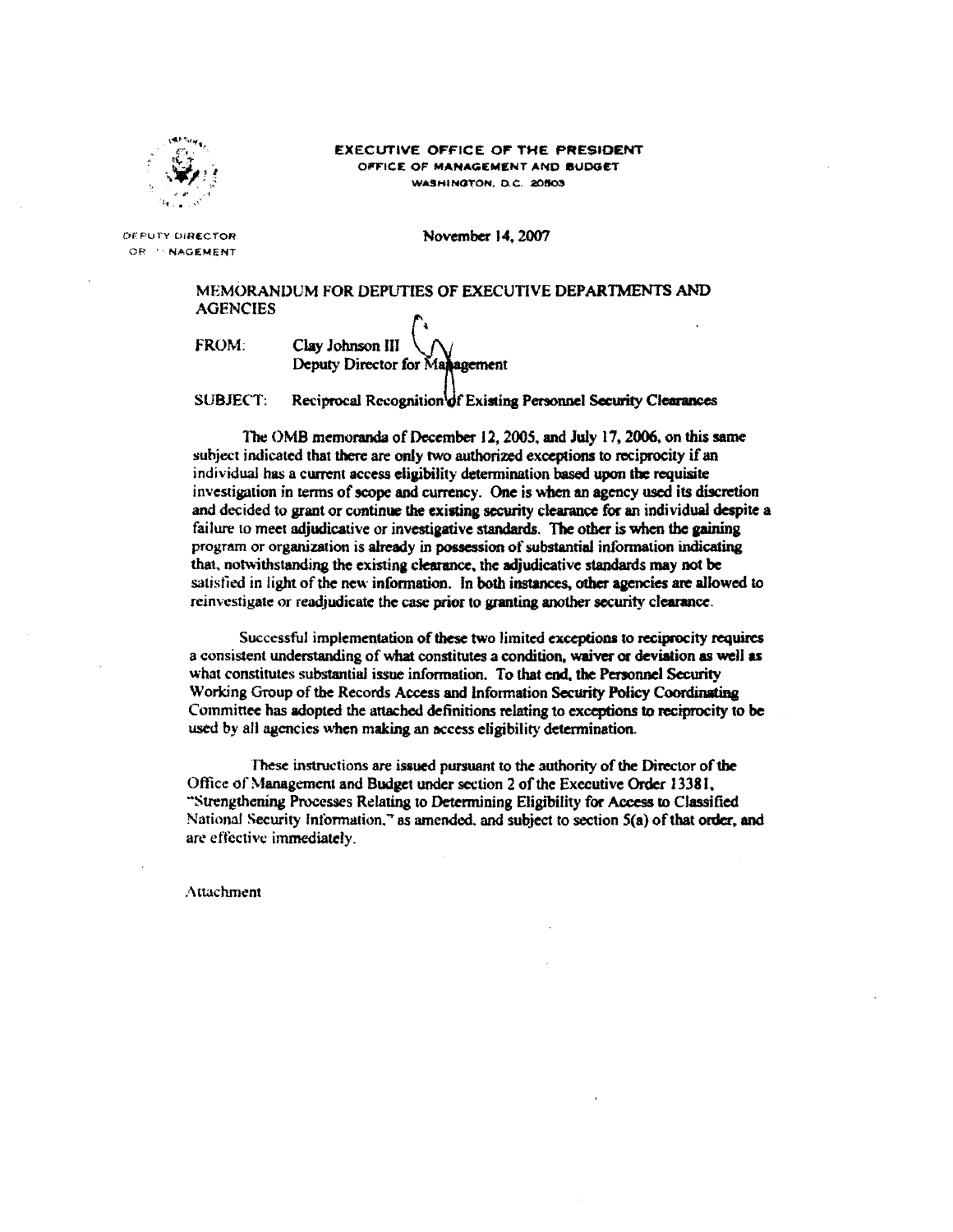

### **EXECUTIVE OFFICE OF THE PRESIDENT** OFFICE OF MANAGEMENT AND BUDGET WASHINGTON, D.C. 20503

DEPUTY DIRECTOR OR PANAGEMENT November 14, 2007

# MEMORANDUM FOR DEPUTIES OF EXECUTIVE DEPARTMENTS AND **AGENCIES**

FROM:

Clay Johnson III Deputy Director for Management

**SUBJECT:** Reciprocal Recognition of Existing Personnel Security Clearances

The OMB memoranda of December 12, 2005, and July 17, 2006, on this same subject indicated that there are only two authorized exceptions to reciprocity if an individual has a current access eligibility determination based upon the requisite investigation in terms of scope and currency. One is when an agency used its discretion and decided to grant or continue the existing security clearance for an individual despite a failure to meet adjudicative or investigative standards. The other is when the gaining program or organization is already in possession of substantial information indicating that, notwithstanding the existing clearance, the adjudicative standards may not be satisfied in light of the new information. In both instances, other agencies are allowed to reinvestigate or readjudicate the case prior to granting another security clearance.

Successful implementation of these two limited exceptions to reciprocity requires a consistent understanding of what constitutes a condition, waiver or deviation as well as what constitutes substantial issue information. To that end, the Personnel Security Working Group of the Records Access and Information Security Policy Coordinating Committee has adopted the attached definitions relating to exceptions to reciprocity to be used by all agencies when making an access eligibility determination.

These instructions are issued pursuant to the authority of the Director of the Office of Management and Budget under section 2 of the Executive Order 13381, "Strengthening Processes Relating to Determining Eligibility for Access to Classified National Security Information," as amended, and subject to section 5(a) of that order, and are effective immediately.

Attachment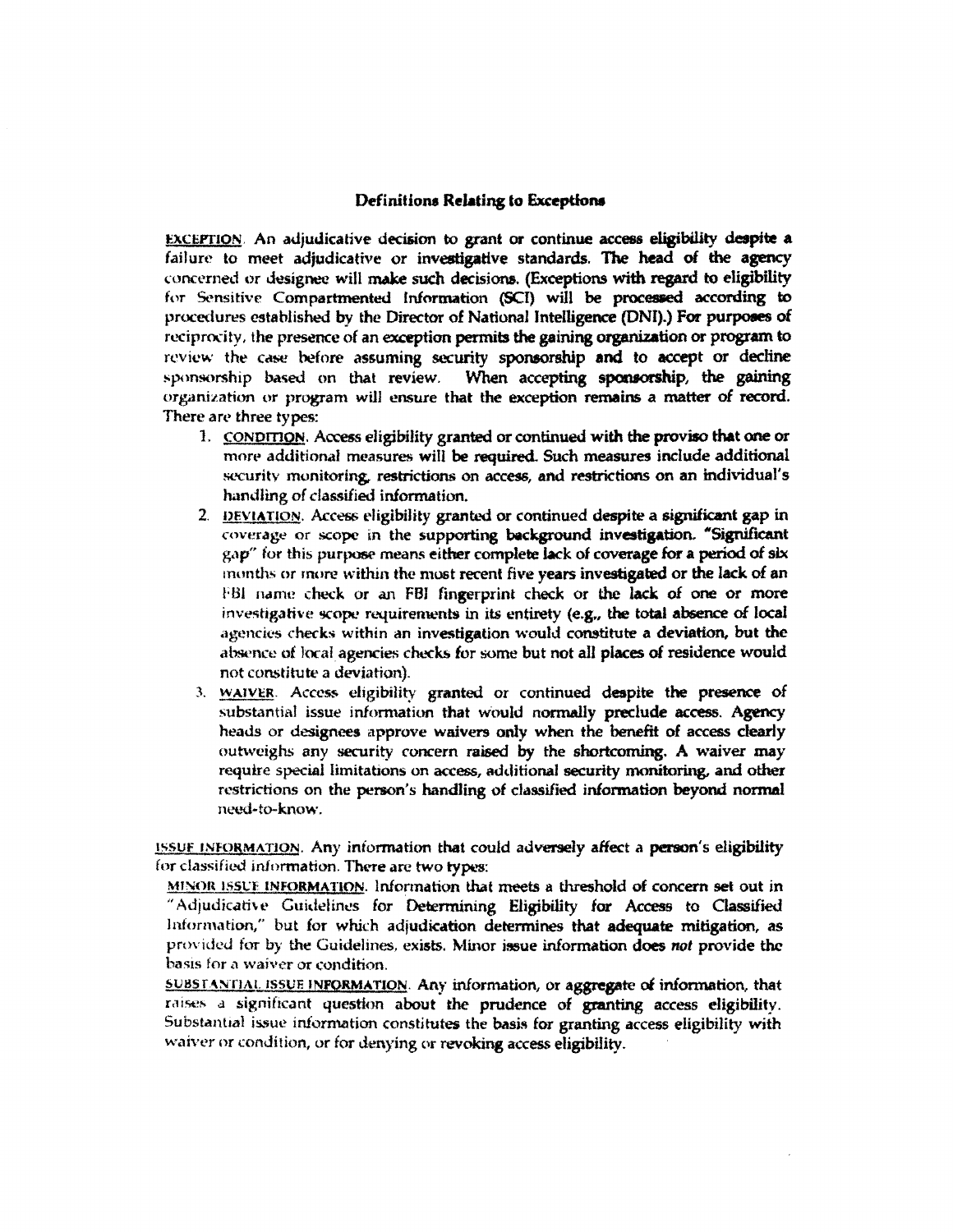# Definitions Relating to Exceptions

EXCEPTION. An adjudicative decision to grant or continue access eligibility despite a failure to meet adjudicative or investigative standards. The head of the agency concerned or designee will make such decisions. (Exceptions with regard to eligibility for Sensitive Compartmented Information (SCI) will be processed according to procedures established by the Director of National Intelligence (DNI).) For purposes of reciprocity, the presence of an exception permits the gaining organization or program to review the case before assuming security sponsorship and to accept or decline sponsorship based on that review. When accepting sponsorship, the gaining organization or program will ensure that the exception remains a matter of record. There are three types:

- 1. CONDITION. Access eligibility granted or continued with the proviso that one or more additional measures will be required. Such measures include additional security monitoring, restrictions on access, and restrictions on an individual's handling of classified information.
- 2. DEVIATION. Access eligibility granted or continued despite a significant gap in coverage or scope in the supporting background investigation. "Significant gap" for this purpose means either complete lack of coverage for a period of six months or more within the most recent five years investigated or the lack of an FBI name check or an FBI fingerprint check or the lack of one or more investigative scope requirements in its entirety (e.g., the total absence of local agencies checks within an investigation would constitute a deviation, but the absence of local agencies checks for some but not all places of residence would not constitute a deviation).
- 3. WAIVER. Access eligibility granted or continued despite the presence of substantial issue information that would normally preclude access. Agency heads or designees approve waivers only when the benefit of access clearly outweighs any security concern raised by the shortcoming. A waiver may require special limitations on access, additional security monitoring, and other restrictions on the person's handling of classified information beyond normal need-to-know.

ISSUE INFORMATION. Any information that could adversely affect a person's eligibility for classified information. There are two types:

MINOR ISSUE INFORMATION. Information that meets a threshold of concern set out in "Adjudicative Guidelines for Determining Eligibility for Access to Classified Information," but for which adjudication determines that adequate mitigation, as provided for by the Guidelines, exists. Minor issue information does not provide the basis for a waiver or condition.

SUBSTANTIAL ISSUE INFORMATION. Any information, or aggregate of information, that raises a significant question about the prudence of granting access eligibility. Substantial issue information constitutes the basis for granting access eligibility with waiver or condition, or for denying or revoking access eligibility.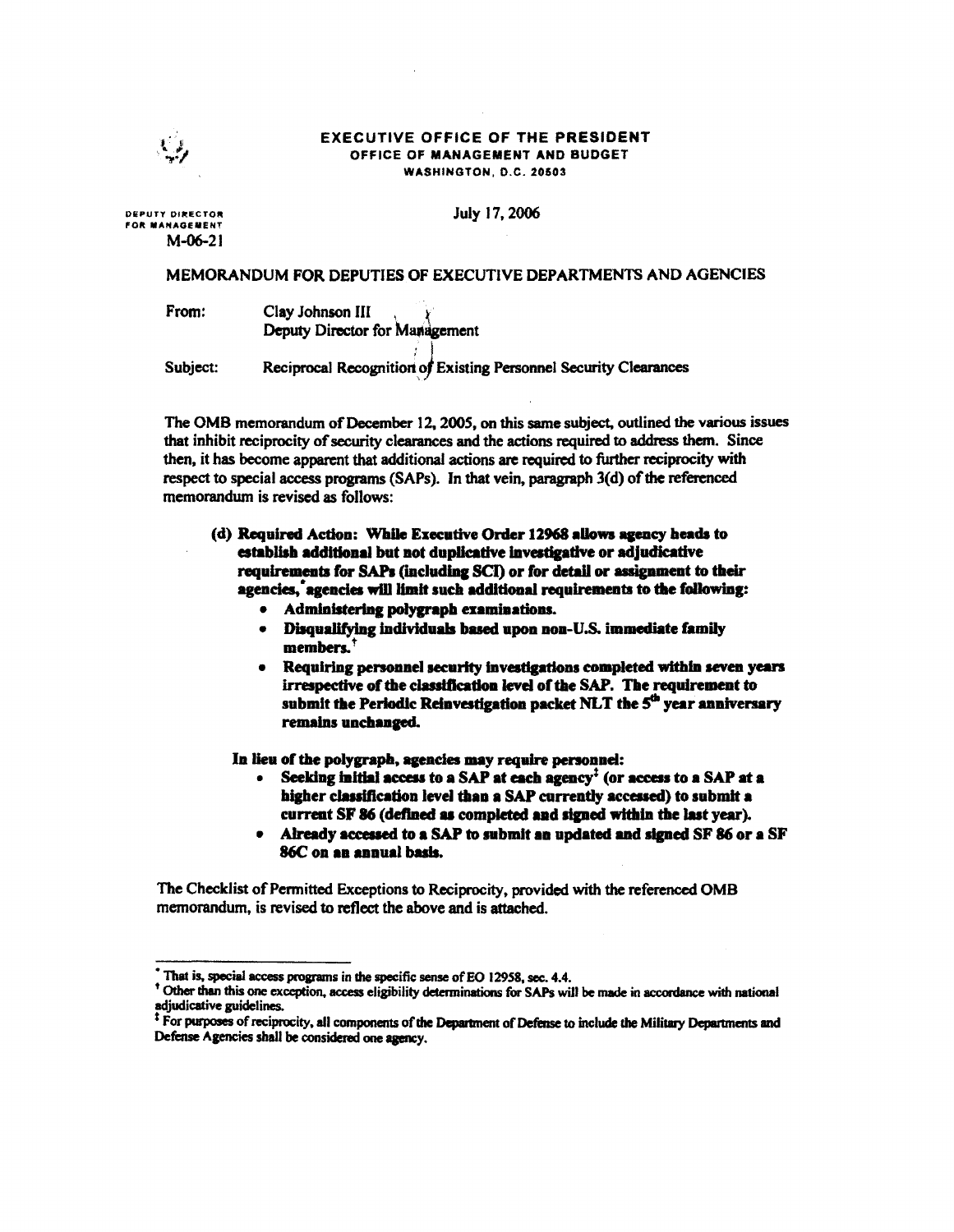**EXECUTIVE OFFICE OF THE PRESIDENT** OFFICE OF MANAGEMENT AND BUDGET WASHINGTON, D.C. 20503

July 17, 2006

**DEPUTY DIRECTOR FOR MANAGEMENT**  $M - 06 - 21$ 

# MEMORANDUM FOR DEPUTIES OF EXECUTIVE DEPARTMENTS AND AGENCIES

| From:    | Clay Johnson III $\chi$<br>Deputy Director for Management        |
|----------|------------------------------------------------------------------|
| Subject: | Reciprocal Recognition of Existing Personnel Security Clearances |

The OMB memorandum of December 12, 2005, on this same subject, outlined the various issues that inhibit reciprocity of security clearances and the actions required to address them. Since then, it has become apparent that additional actions are required to further reciprocity with respect to special access programs (SAPs). In that vein, paragraph 3(d) of the referenced memorandum is revised as follows:

(d) Required Action: While Executive Order 12968 allows agency heads to establish additional but not duplicative investigative or adjudicative requirements for SAPs (including SCI) or for detail or assignment to their agencies, agencies will limit such additional requirements to the following:

- Administering polygraph examinations.
- Disqualifying individuals based upon non-U.S. immediate family members.<sup>†</sup>
- Requiring personnel security investigations completed within seven years irrespective of the classification level of the SAP. The requirement to submit the Periodic Reinvestigation packet NLT the 5<sup>th</sup> year anniversary remains unchanged.

In lieu of the polygraph, agencies may require personnel:

- Seeking initial access to a SAP at each agency<sup> $\ddagger$ </sup> (or access to a SAP at a higher classification level than a SAP currently accessed) to submit a current SF 86 (defined as completed and signed within the last year).
- Already accessed to a SAP to submit an updated and signed SF 86 or a SF 86C on an annual basis.

The Checklist of Permitted Exceptions to Reciprocity, provided with the referenced OMB memorandum, is revised to reflect the above and is attached.

That is, special access programs in the specific sense of EO 12958, sec. 4.4.

<sup>&</sup>lt;sup>+</sup> Other than this one exception, access eligibility determinations for SAPs will be made in accordance with national adjudicative guidelines.

<sup>&</sup>lt;sup>‡</sup> For purposes of reciprocity, all components of the Department of Defense to include the Military Departments and Defense Agencies shall be considered one agency.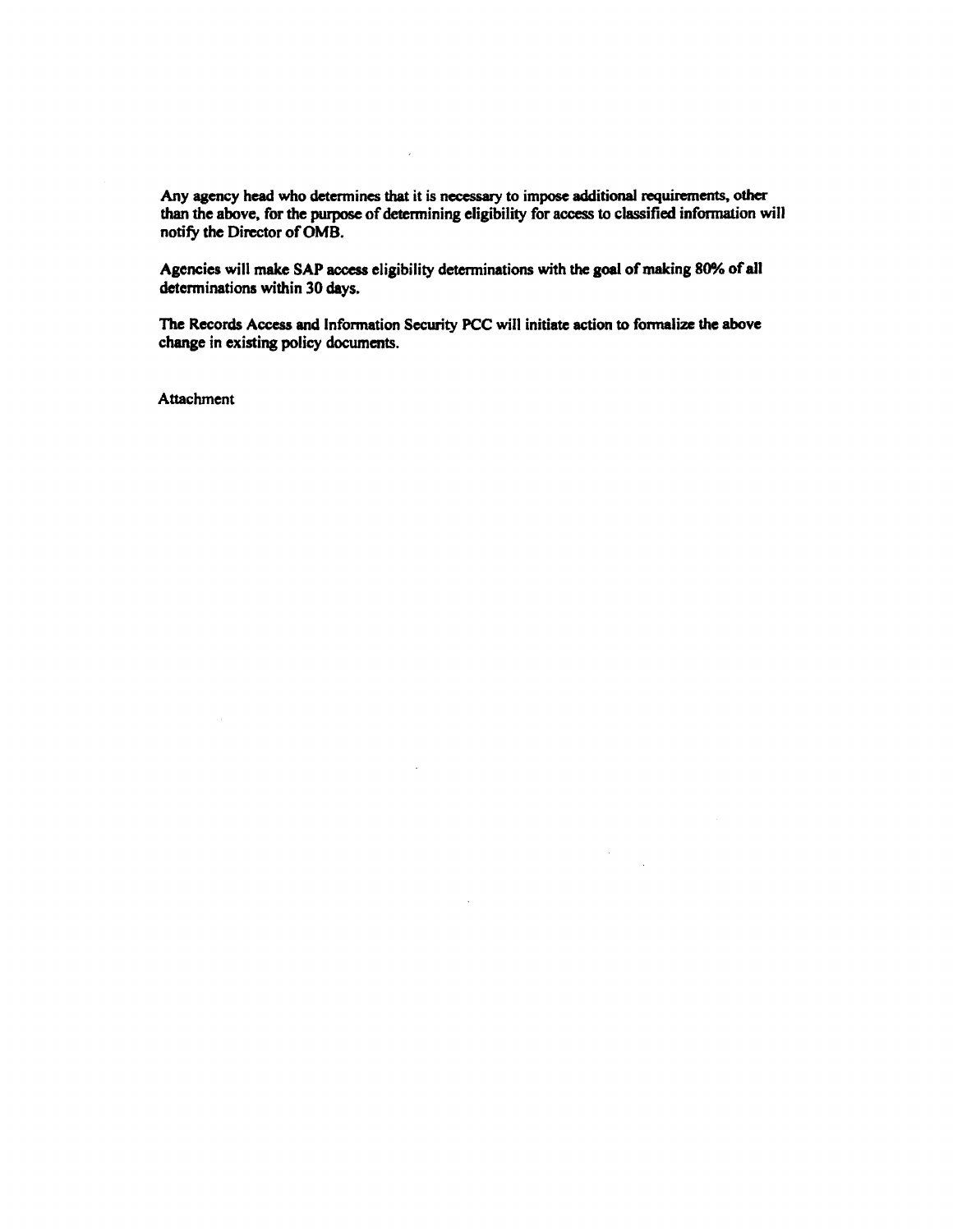Any agency head who determines that it is necessary to impose additional requirements, other than the above, for the purpose of determining eligibility for access to classified information will notify the Director of OMB.

J,

Agencies will make SAP access eligibility determinations with the goal of making 80% of all determinations within 30 days.

The Records Access and Information Security PCC will initiate action to fonnalize the above change in existing policy documents.

 $\sim 10$ 

**Attachment**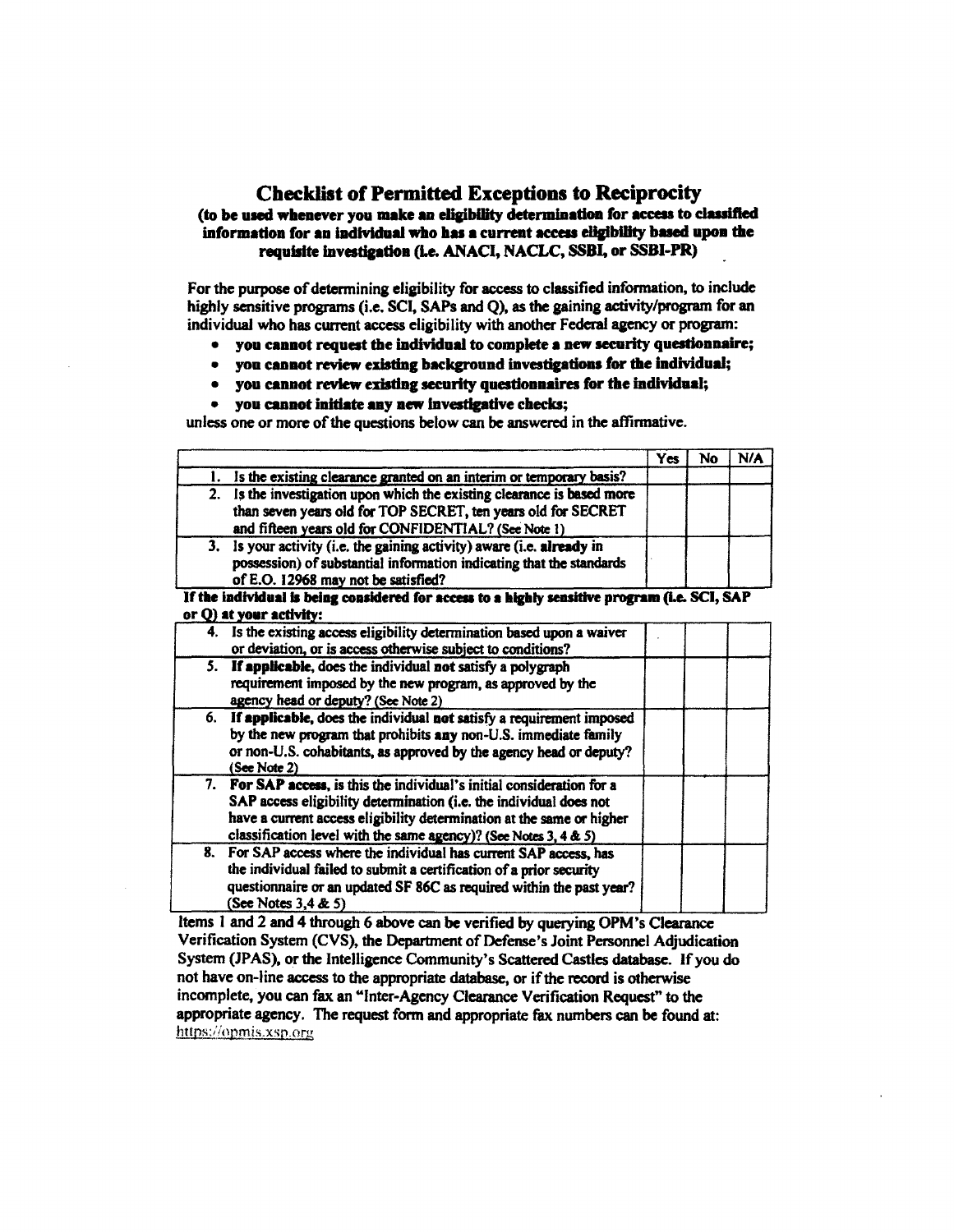# **Checklist of Permitted Exceptions to Reciprocity**

# (to be used whenever you make an eligibility determination for access to classified information for an individual who has a current access eligibility based upon the requisite investigation (i.e. ANACI, NACLC, SSBI, or SSBI-PR)

For the purpose of determining eligibility for access to classified information, to include highly sensitive programs (i.e. SCI, SAPs and Q), as the gaining activity/program for an individual who has current access eligibility with another Federal agency or program:

- you cannot request the individual to complete a new security questionnaire;
- vou cannot review existing background investigations for the individual;  $\bullet$
- you cannot review existing security questionnaires for the individual;  $\bullet$
- $\blacksquare$ you cannot initiate any new investigative checks;

unless one or more of the questions below can be answered in the affirmative.

|    |                                                                                               | <b>Yes</b> | No | N/A |
|----|-----------------------------------------------------------------------------------------------|------------|----|-----|
|    | 1. Is the existing clearance granted on an interim or temporary basis?                        |            |    |     |
| 2. | Is the investigation upon which the existing clearance is based more                          |            |    |     |
|    | than seven years old for TOP SECRET, ten years old for SECRET                                 |            |    |     |
|    | and fifteen years old for CONFIDENTIAL? (See Note 1)                                          |            |    |     |
| 3. | Is your activity (i.e. the gaining activity) aware (i.e. already in                           |            |    |     |
|    | possession) of substantial information indicating that the standards                          |            |    |     |
|    | of E.O. 12968 may not be satisfied?                                                           |            |    |     |
|    | If the individual is being considered for access to a highly sensitive program (i.e. SCI, SAP |            |    |     |
|    | or Q) at your activity:                                                                       |            |    |     |
|    | 4. Is the existing access eligibility determination based upon a waiver                       |            |    |     |
|    | or deviation, or is access otherwise subject to conditions?                                   |            |    |     |
|    | 5. If applicable, does the individual not satisfy a polygraph                                 |            |    |     |
|    | requirement imposed by the new program, as approved by the                                    |            |    |     |
|    | agency head or deputy? (See Note 2)                                                           |            |    |     |
|    | 6. If applicable, does the individual not satisfy a requirement imposed                       |            |    |     |
|    | by the new program that prohibits any non-U.S. immediate family                               |            |    |     |
|    | or non-U.S. cohabitants, as approved by the agency head or deputy?                            |            |    |     |
|    | (See Note 2)                                                                                  |            |    |     |
|    | 7. For SAP access, is this the individual's initial consideration for a                       |            |    |     |
|    | SAP access eligibility determination (i.e. the individual does not                            |            |    |     |
|    | have a current access eligibility determination at the same or higher                         |            |    |     |
|    | classification level with the same agency)? (See Notes 3, 4 & 5)                              |            |    |     |
| 8. | For SAP access where the individual has current SAP access, has                               |            |    |     |
|    | the individual failed to submit a certification of a prior security                           |            |    |     |
|    | questionnaire or an updated SF 86C as required within the past year?                          |            |    |     |
|    | (See Notes $3,4 \& 5$ )                                                                       |            |    |     |

Items 1 and 2 and 4 through 6 above can be verified by querying OPM's Clearance Verification System (CVS), the Department of Defense's Joint Personnel Adjudication System (JPAS), or the Intelligence Community's Scattered Castles database. If you do not have on-line access to the appropriate database, or if the record is otherwise incomplete, you can fax an "Inter-Agency Clearance Verification Request" to the appropriate agency. The request form and appropriate fax numbers can be found at: https://opmis.xsp.org